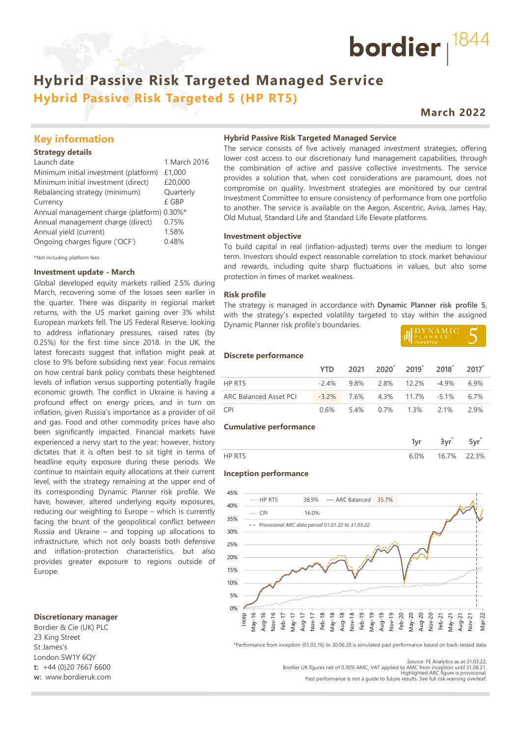## **Hybrid Passive Risk Targeted Managed Service Hybrid Passive Risk Targeted 5 (HP RT5)**

## **March 2022**

bordier  $1844$ 

### **Key information**

#### **Strategy details**

| Launch date                                | 1 March 2016 |
|--------------------------------------------|--------------|
| Minimum initial investment (platform)      | £1,000       |
| Minimum initial investment (direct)        | £20,000      |
| Rebalancing strategy (minimum)             | Quarterly    |
| Currency                                   | £ GBP        |
| Annual management charge (platform) 0.30%* |              |
| Annual management charge (direct)          | 0.75%        |
| Annual yield (current)                     | 1.58%        |
| Ongoing charges figure ('OCF')             | 0.48%        |
|                                            |              |

\*Not including platform fees

#### **Investment update - March**

Global developed equity markets rallied 2.5% during March, recovering some of the losses seen earlier in the quarter. There was disparity in regional market returns, with the US market gaining over 3% whilst European markets fell. The US Federal Reserve, looking to address inflationary pressures, raised rates (by 0.25%) for the first time since 2018. In the UK, the latest forecasts suggest that inflation might peak at close to 9% before subsiding next year. Focus remains on how central bank policy combats these heightened levels of inflation versus supporting potentially fragile economic growth. The conflict in Ukraine is having a profound effect on energy prices, and in turn on inflation, given Russia's importance as a provider of oil and gas. Food and other commodity prices have also been significantly impacted. Financial markets have experienced a nervy start to the year; however, history dictates that it is often best to sit tight in terms of headline equity exposure during these periods. We continue to maintain equity allocations at their current level, with the strategy remaining at the upper end of its corresponding Dynamic Planner risk profile. We have, however, altered underlying equity exposures, reducing our weighting to Europe – which is currently facing the brunt of the geopolitical conflict between Russia and Ukraine – and topping up allocations to infrastructure, which not only boasts both defensive and inflation-protection characteristics, but also provides greater exposure to regions outside of Europe.

#### **Discretionary manager**

Bordier & Cie (UK) PLC 23 King Street St James's London SW1Y 6QY **t:** +44 (0)20 7667 6600 **w:** www.bordieruk.com **Hybrid Passive Risk Targeted Managed Service**

The service consists of five actively managed investment strategies, offering lower cost access to our discretionary fund management capabilities, through the combination of active and passive collective investments. The service provides a solution that, when cost considerations are paramount, does not compromise on quality. Investment strategies are monitored by our central Investment Committee to ensure consistency of performance from one portfolio to another. The service is available on the Aegon, Ascentric, Aviva, James Hay, Old Mutual, Standard Life and Standard Life Elevate platforms.

#### **Investment objective**

To build capital in real (inflation-adjusted) terms over the medium to longer term. Investors should expect reasonable correlation to stock market behaviour and rewards, including quite sharp fluctuations in values, but also some protection in times of market weakness.

#### **Risk profile**

The strategy is managed in accordance with **Dynamic Planner risk profile 5**, with the strategy's expected volatility targeted to stay within the assigned Dynamic Planner risk profile's boundaries.

| III PLANNER <sup>®</sup> |  |
|--------------------------|--|
|                          |  |
|                          |  |

#### **Discrete performance**

|                        |                                     | YTD 2021 2020 2019 2018 2017           |  |  |
|------------------------|-------------------------------------|----------------------------------------|--|--|
| HP RT5                 |                                     | $-2.4\%$ 9.8% 2.8% 12.2% $-4.9\%$ 6.9% |  |  |
| ARC Balanced Asset PCI | $-3.2\%$ 7.6% 4.3% 11.7% -5.1% 6.7% |                                        |  |  |
| <b>CPI</b>             |                                     | $0.6\%$ 5.4% 0.7% 1.3% 2.1% 2.9%       |  |  |

#### **Cumulative performance**

| ገ% | 16.7% | -30\ |
|----|-------|------|

#### **Inception performance**



\*Performance from inception (01.03.16) to 30.06.20 is simulated past performance based on back-tested data.

Bordier UK figures net of 0.30% AMC. VAT applied to AMC from inception until 31.08.21. Highlighted ARC figure is provisional. Past performance is not a guide to future results. See full risk warning overleaf.

Source: FE Analytics as at 31.03.22.